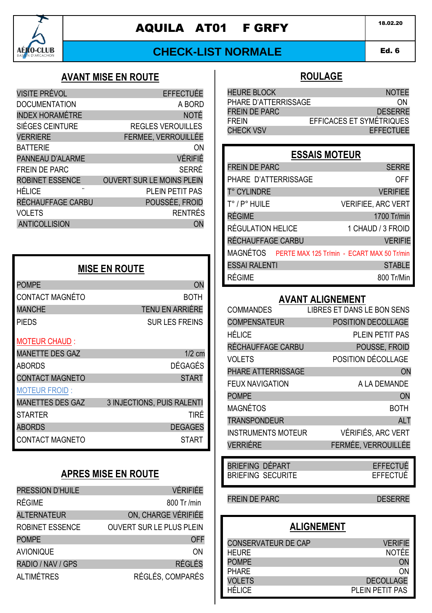

# AQUILA AT01 F GRFY | 18.02.20

# **CHECK-LIST NORMALE**

#### Ed. 6 AMD 1

# **AVANT MISE EN ROUTE**

| <b>VISITE PRÉVOL</b>   | <b>EFFECTUÉE</b>                 |
|------------------------|----------------------------------|
| <b>DOCUMENTATION</b>   | A BORD                           |
| <b>INDEX HORAMÉTRE</b> | <b>NOTÉ</b>                      |
| SIÉGES CEINTURE        | <b>REGLES VEROUILLES</b>         |
| <b>VERRIERE</b>        | FERMEE, VERROUILLÉE              |
| <b>BATTERIE</b>        | ON                               |
| PANNEAU D'ALARME       | VÉRIFIÉ                          |
| <b>FREIN DE PARC</b>   | SERRÉ                            |
| <b>ROBINET ESSENCE</b> | <b>OUVERT SUR LE MOINS PLEIN</b> |
| HÉLICE<br>             | PLEIN PETIT PAS                  |
| RÉCHAUFFAGE CARBU      | POUSSÉE, FROID                   |
| <b>VOLETS</b>          | <b>RENTRÉS</b>                   |
| <b>ANTICOLLISION</b>   |                                  |
|                        |                                  |

| <b>MISE EN ROUTE</b>    |                            |
|-------------------------|----------------------------|
| <b>POMPE</b>            | ON                         |
| CONTACT MAGNÉTO         | BOTH                       |
| <b>MANCHE</b>           | <b>TENU EN ARRIÉRE</b>     |
| <b>PIEDS</b>            | <b>SUR LES FREINS</b>      |
| <b>MOTEUR CHAUD:</b>    |                            |
| <b>MANETTE DES GAZ</b>  | $1/2$ cm                   |
| <b>ABORDS</b>           | <b>DÉGAGÉS</b>             |
| <b>CONTACT MAGNETO</b>  | <b>START</b>               |
| <b>MOTEUR FROID:</b>    |                            |
| <b>MANETTES DES GAZ</b> | 3 INJECTIONS, PUIS RALENTI |
| <b>STARTER</b>          | TIRÉ                       |
| <b>ABORDS</b>           | <b>DEGAGES</b>             |
| <b>CONTACT MAGNETO</b>  | START                      |

# **APRES MISE EN ROUTE**

| PRESSION D'HUILE       | <b>VÉRIFIÉE</b>                 |
|------------------------|---------------------------------|
| RÉGIME                 | 800 Tr /min                     |
| <b>ALTERNATEUR</b>     | ON, CHARGE VÉRIFIÉE             |
| <b>ROBINET ESSENCE</b> | <b>OUVERT SUR LE PLUS PLEIN</b> |
| <b>POMPE</b>           | <b>OFF</b>                      |
| <b>AVIONIQUE</b>       | ON                              |
| RADIO / NAV / GPS      | <b>RÉGLÉS</b>                   |
| <b>ALTIMÉTRES</b>      | RÉGLÉS, COMPARÉS                |
|                        |                                 |

### **ROULAGE**

| <b>HEURE BLOCK</b>   | <b>NOTEE</b>             |
|----------------------|--------------------------|
| PHARE D'ATTERRISSAGE | ΩN                       |
| <b>FREIN DE PARC</b> | <b>DESERRE</b>           |
| <b>FREIN</b>         | EFFICACES ET SYMÉTRIQUES |
| <b>CHECK VSV</b>     | <b>EFFECTUEE</b>         |

#### **ESSAIS MOTEUR**

| <b>FREIN DE PARC</b>                                | <b>SERRE</b>              |
|-----------------------------------------------------|---------------------------|
| PHARE D'ATTERRISSAGE                                | OFF                       |
| T° CYLINDRE                                         | <b>VERIFIEE</b>           |
| T° / P° HUILE                                       | <b>VERIFIEE, ARC VERT</b> |
| <b>RÉGIME</b>                                       | 1700 Tr/min               |
| RÉGULATION HELICE                                   | 1 CHAUD / 3 FROID         |
| RÉCHAUFFAGE CARBU                                   | <b>VERIFIE</b>            |
| MAGNÉTOS PERTE MAX 125 Tr/min - ECART MAX 50 Tr/min |                           |
| <b>ESSAI RALENTI</b>                                | <b>STABLE</b>             |
| RÉGIME                                              | 800 Tr/Min                |

# **AVANT ALIGNEMENT**

| <b>COMMANDES</b>          | LIBRES ET DANS LE BON SENS |
|---------------------------|----------------------------|
| <b>COMPENSATEUR</b>       | POSITION DECOLLAGE         |
| HÉLICE                    | PLEIN PETIT PAS            |
| RÉCHAUFFAGE CARBU         | POUSSE, FROID              |
| <b>VOLETS</b>             | POSITION DÉCOLLAGE         |
| PHARE ATTERRISSAGE        | ON                         |
| <b>FEUX NAVIGATION</b>    | A LA DEMANDE               |
| <b>POMPE</b>              | ON                         |
| <b>MAGNÉTOS</b>           | <b>BOTH</b>                |
| <b>TRANSPONDEUR</b>       | <b>ALT</b>                 |
| <b>INSTRUMENTS MOTEUR</b> | VÉRIFIÉS, ARC VERT         |
| <b>VERRIÉRE</b>           | FERMÉE, VERROUILLÉE        |

| BRIEFING DÉPART |                   | EFFECTUÉ |
|-----------------|-------------------|----------|
|                 | BRIEFING SECURITE | EFFECTUÉ |

#### FREIN DE PARC DESERRE

# **ALIGNEMENT**

| CONSERVATEUR DE CAP | <b>VERIFIE</b>   |
|---------------------|------------------|
| <b>HFURF</b>        | <b>NOTFF</b>     |
| <b>POMPF</b>        | ON               |
| <b>PHARF</b>        | ωN               |
| VOI FTS             | <b>DECOLLAGE</b> |
| HÉI ICE             | PLEIN PETIT PAS  |
|                     |                  |